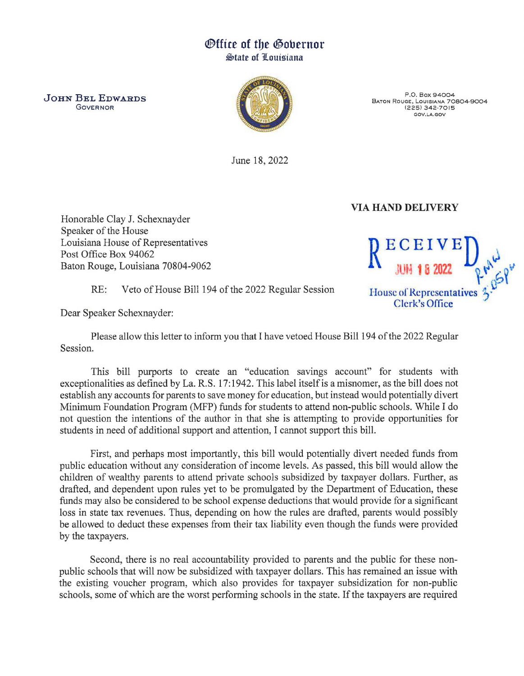## ®ffice of tbe @obernor **State of Louisiana**

**GOVERNOR** 



P.O. Box 94004 BATON ROUGE, LOUISIANA 70804-9004 (225) 342-7015 GOV.LA.GOV

June 18, 2022

## VIA HAND DELIVERY

Honorable Clay J. Schexnayder Speaker of the House Louisiana House of Representatives Post Office Box 94062 Louisiana House of Representatives<br>
Post Office Box 94062<br>
Baton Rouge, Louisiana 70804-9062

RE: Veto of House Bill 194 of the 2022 Regular Session House of Representatives

Dear Speaker Schexnayder:

Please allow this letter to inform you that I have vetoed House Bill 194 of the 2022 Regular Session.

This bill purports to create an "education savings account" for students with exceptionalities as defined by La. R.S. 17: 1942. This label itself is a misnomer, as the bill does not establish any accounts for parents to save money for education, but instead would potentially divert Minimum Foundation Program (MFP) funds for students to attend non-public schools. While I do not question the intentions of the author in that she is attempting to provide opportunities for students in need of additional support and attention, I cannot support this bill.

First, and perhaps most importantly, this bill would potentially divert needed funds from public education without any consideration of income levels. As passed, this bill would allow the children of wealthy parents to attend private schools subsidized by taxpayer dollars. Further, as drafted, and dependent upon rules yet to be promulgated by the Department of Education, these funds may also be considered to be school expense deductions that would provide for a significant loss in state tax revenues. Thus, depending on how the rules are drafted, parents would possibly be allowed to deduct these expenses from their tax liability even though the funds were provided by the taxpayers.

Second, there is no real accountability provided to parents and the public for these nonpublic schools that will now be subsidized with taxpayer dollars. This has remained an issue with the existing voucher program, which also provides for taxpayer subsidization for non-public schools, some of which are the worst performing schools in the state. If the taxpayers are required